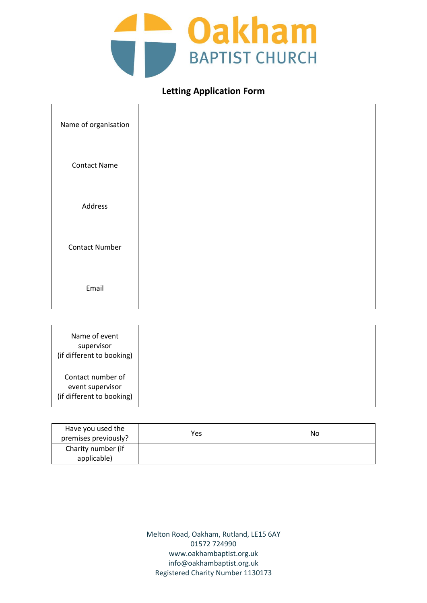

## **Letting Application Form**

| Name of organisation  |  |
|-----------------------|--|
| <b>Contact Name</b>   |  |
| Address               |  |
| <b>Contact Number</b> |  |
| Email                 |  |

| Name of event<br>supervisor<br>(if different to booking)           |  |
|--------------------------------------------------------------------|--|
| Contact number of<br>event supervisor<br>(if different to booking) |  |

| Have you used the    | Yes | No |
|----------------------|-----|----|
| premises previously? |     |    |
| Charity number (if   |     |    |
| applicable)          |     |    |

Melton Road, Oakham, Rutland, LE15 6AY 01572 724990 www.oakhambaptist.org.uk [info@oakhambaptist.org.uk](mailto:info@oakhambaptist.org.uk) Registered Charity Number 1130173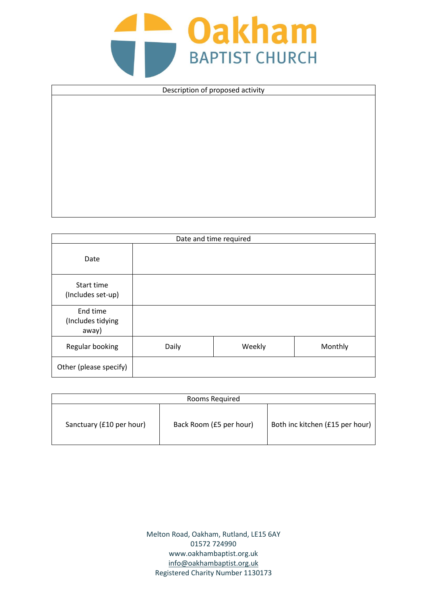## **COAKham**

| Description of proposed activity |  |
|----------------------------------|--|
|                                  |  |
|                                  |  |
|                                  |  |
|                                  |  |
|                                  |  |
|                                  |  |
|                                  |  |
|                                  |  |
|                                  |  |

| Date and time required                 |       |        |         |
|----------------------------------------|-------|--------|---------|
| Date                                   |       |        |         |
| Start time<br>(Includes set-up)        |       |        |         |
| End time<br>(Includes tidying<br>away) |       |        |         |
| Regular booking                        | Daily | Weekly | Monthly |
| Other (please specify)                 |       |        |         |

| Rooms Required           |                         |                                 |  |  |
|--------------------------|-------------------------|---------------------------------|--|--|
| Sanctuary (£10 per hour) | Back Room (£5 per hour) | Both inc kitchen (£15 per hour) |  |  |

Melton Road, Oakham, Rutland, LE15 6AY 01572 724990 www.oakhambaptist.org.uk [info@oakhambaptist.org.uk](mailto:info@oakhambaptist.org.uk) Registered Charity Number 1130173